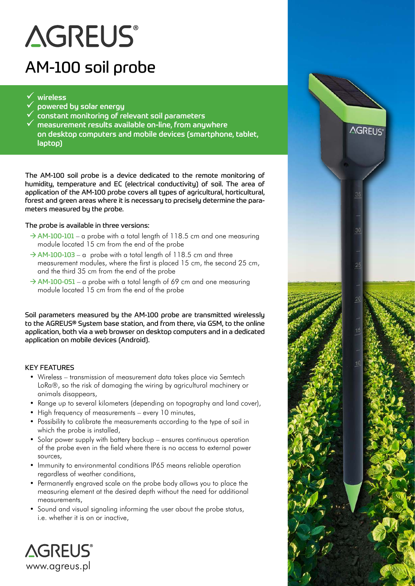# **AGREUS®**

### AM-100 soil probe

#### $\checkmark$  wireless

- 9 powered by solar energy
- $\hat{\phantom{\phi}}$  constant monitoring of relevant soil parameters
- $\checkmark$  measurement results available on-line, from anywhere on desktop computers and mobile devices (smartphone, tablet, laptop)

**AGREUS®** 

The AM-100 soil probe is a device dedicated to the remote monitoring of humidity, temperature and EC (electrical conductivity) of soil. The area of application of the AM-100 probe covers all types of agricultural, horticultural, forest and green areas where it is necessary to precisely determine the parameters measured by the probe.

#### The probe is available in three versions:

- $\rightarrow$  AM-100-101 a probe with a total length of 118.5 cm and one measuring module located 15 cm from the end of the probe
- $\rightarrow$  AM-100-103 a probe with a total length of 118.5 cm and three measurement modules, where the first is placed 15 cm, the second 25 cm, and the third 35 cm from the end of the probe
- $\rightarrow$  AM-100-051 a probe with a total length of 69 cm and one measuring module located 15 cm from the end of the probe

Soil parameters measured by the AM-100 probe are transmitted wirelessly to the AGREUS® System base station, and from there, via GSM, to the online application, both via a web browser on desktop computers and in a dedicated application on mobile devices (Android).

#### KEY FEATURES

- Wireless transmission of measurement data takes place via Semtech LoRa®, so the risk of damaging the wiring by agricultural machinery or animals disappears,
- Range up to several kilometers (depending on topography and land cover),
- High frequency of measurements every 10 minutes,
- Possibility to calibrate the measurements according to the type of soil in which the probe is installed,
- Solar power supply with battery backup ensures continuous operation of the probe even in the field where there is no access to external power sources,
- Immunity to environmental conditions IP65 means reliable operation regardless of weather conditions,
- Permanently engraved scale on the probe body allows you to place the measuring element at the desired depth without the need for additional measurements,
- Sound and visual signaling informing the user about the probe status, i.e. whether it is on or inactive,